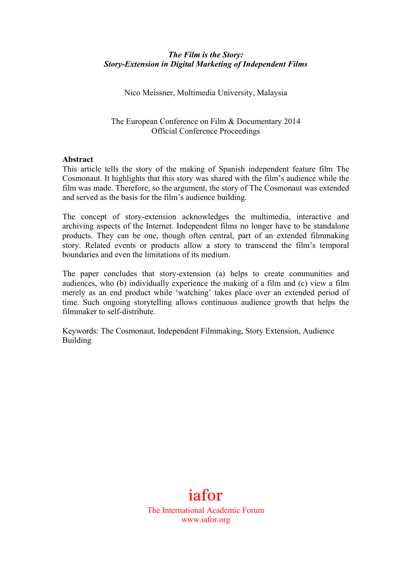# *The Film is the Story: Story-Extension in Digital Marketing of Independent Films*

Nico Meissner, Multimedia University, Malaysia

The European Conference on Film & Documentary 2014 Official Conference Proceedings

#### **Abstract**

This article tells the story of the making of Spanish independent feature film The Cosmonaut. It highlights that this story was shared with the film's audience while the film was made. Therefore, so the argument, the story of The Cosmonaut was extended and served as the basis for the film's audience building.

The concept of story-extension acknowledges the multimedia, interactive and archiving aspects of the Internet. Independent films no longer have to be standalone products. They can be one, though often central, part of an extended filmmaking story. Related events or products allow a story to transcend the film's temporal boundaries and even the limitations of its medium.

The paper concludes that story-extension (a) helps to create communities and audiences, who (b) individually experience the making of a film and (c) view a film merely as an end product while 'watching' takes place over an extended period of time. Such ongoing storytelling allows continuous audience growth that helps the filmmaker to self-distribute.

Keywords: The Cosmonaut, Independent Filmmaking, Story Extension, Audience Building

# iafor

The International Academic Forum www.iafor.org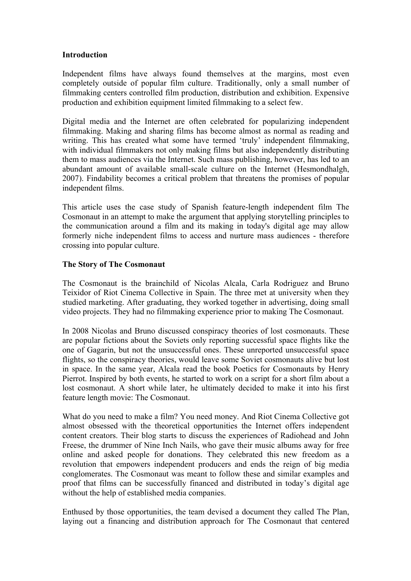## **Introduction**

Independent films have always found themselves at the margins, most even completely outside of popular film culture. Traditionally, only a small number of filmmaking centers controlled film production, distribution and exhibition. Expensive production and exhibition equipment limited filmmaking to a select few.

Digital media and the Internet are often celebrated for popularizing independent filmmaking. Making and sharing films has become almost as normal as reading and writing. This has created what some have termed 'truly' independent filmmaking, with individual filmmakers not only making films but also independently distributing them to mass audiences via the Internet. Such mass publishing, however, has led to an abundant amount of available small-scale culture on the Internet (Hesmondhalgh, 2007). Findability becomes a critical problem that threatens the promises of popular independent films.

This article uses the case study of Spanish feature-length independent film The Cosmonaut in an attempt to make the argument that applying storytelling principles to the communication around a film and its making in today's digital age may allow formerly niche independent films to access and nurture mass audiences - therefore crossing into popular culture.

# **The Story of The Cosmonaut**

The Cosmonaut is the brainchild of Nicolas Alcala, Carla Rodriguez and Bruno Teixidor of Riot Cinema Collective in Spain. The three met at university when they studied marketing. After graduating, they worked together in advertising, doing small video projects. They had no filmmaking experience prior to making The Cosmonaut.

In 2008 Nicolas and Bruno discussed conspiracy theories of lost cosmonauts. These are popular fictions about the Soviets only reporting successful space flights like the one of Gagarin, but not the unsuccessful ones. These unreported unsuccessful space flights, so the conspiracy theories, would leave some Soviet cosmonauts alive but lost in space. In the same year, Alcala read the book Poetics for Cosmonauts by Henry Pierrot. Inspired by both events, he started to work on a script for a short film about a lost cosmonaut. A short while later, he ultimately decided to make it into his first feature length movie: The Cosmonaut.

What do you need to make a film? You need money. And Riot Cinema Collective got almost obsessed with the theoretical opportunities the Internet offers independent content creators. Their blog starts to discuss the experiences of Radiohead and John Freese, the drummer of Nine Inch Nails, who gave their music albums away for free online and asked people for donations. They celebrated this new freedom as a revolution that empowers independent producers and ends the reign of big media conglomerates. The Cosmonaut was meant to follow these and similar examples and proof that films can be successfully financed and distributed in today's digital age without the help of established media companies.

Enthused by those opportunities, the team devised a document they called The Plan, laying out a financing and distribution approach for The Cosmonaut that centered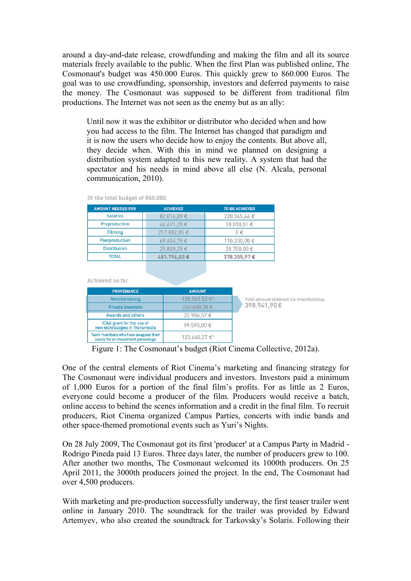around a day-and-date release, crowdfunding and making the film and all its source materials freely available to the public. When the first Plan was published online, The Cosmonaut's budget was 450.000 Euros. This quickly grew to 860.000 Euros. The goal was to use crowdfunding, sponsorship, investors and deferred payments to raise the money. The Cosmonaut was supposed to be different from traditional film productions. The Internet was not seen as the enemy but as an ally:

Until now it was the exhibitor or distributor who decided when and how you had access to the film. The Internet has changed that paradigm and it is now the users who decide how to enjoy the contents. But above all, they decide when. With this in mind we planned on designing a distribution system adapted to this new reality. A system that had the spectator and his needs in mind above all else (N. Alcala, personal communication, 2010).

| <b>AMOUNT NEEDED FOR</b> | <b>ACHIEVED</b> | <b>TO BE ACHIEVED</b> |
|--------------------------|-----------------|-----------------------|
| <b>Salaries</b>          | 82.016.89€      | 220.365,46€           |
| Preproduction            | 46.491,25€      | 18.810,51 €           |
| Filming                  | 257.802,85 €    | $0 \in$               |
| Postproduction           | 69.654,79€      | 110.330,00 €          |
| <b>Distribution</b>      | 25.828,25€      | 28.700,00 €           |
| <b>TOTAL</b>             | 481.794,03€     | 378.205,97€           |

| Achieved so far                                                            |               |                                                         |
|----------------------------------------------------------------------------|---------------|---------------------------------------------------------|
| <b>PROVENANCE</b>                                                          | <b>AMOUNT</b> |                                                         |
| Merchandising                                                              | 138.061,52 €  | Total amount obtained via crowdfunding:<br>398,941,90 € |
| <b>Private investors</b>                                                   | 260,880,38€   |                                                         |
| Awards and others                                                          | 22.906,57€    |                                                         |
| ICAA grant for the use of<br>new technologies in Transmedia                | 99.595,00€    |                                                         |
| Team members who have swapped their<br>salary for an investment percentage | 123.640,27 €  |                                                         |

Figure 1: The Cosmonaut's budget (Riot Cinema Collective, 2012a).

One of the central elements of Riot Cinema's marketing and financing strategy for The Cosmonaut were individual producers and investors. Investors paid a minimum of 1,000 Euros for a portion of the final film's profits. For as little as 2 Euros, everyone could become a producer of the film. Producers would receive a batch, online access to behind the scenes information and a credit in the final film. To recruit producers, Riot Cinema organized Campus Parties, concerts with indie bands and other space-themed promotional events such as Yuri's Nights.

On 28 July 2009, The Cosmonaut got its first 'producer' at a Campus Party in Madrid - Rodrigo Pineda paid 13 Euros. Three days later, the number of producers grew to 100. After another two months, The Cosmonaut welcomed its 1000th producers. On 25 April 2011, the 3000th producers joined the project. In the end, The Cosmonaut had over 4,500 producers.

With marketing and pre-production successfully underway, the first teaser trailer went online in January 2010. The soundtrack for the trailer was provided by Edward Artemyev, who also created the soundtrack for Tarkovsky's Solaris. Following their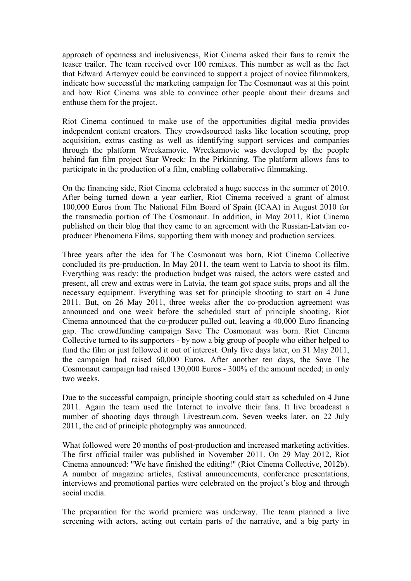approach of openness and inclusiveness, Riot Cinema asked their fans to remix the teaser trailer. The team received over 100 remixes. This number as well as the fact that Edward Artemyev could be convinced to support a project of novice filmmakers, indicate how successful the marketing campaign for The Cosmonaut was at this point and how Riot Cinema was able to convince other people about their dreams and enthuse them for the project.

Riot Cinema continued to make use of the opportunities digital media provides independent content creators. They crowdsourced tasks like location scouting, prop acquisition, extras casting as well as identifying support services and companies through the platform Wreckamovie. Wreckamovie was developed by the people behind fan film project Star Wreck: In the Pirkinning. The platform allows fans to participate in the production of a film, enabling collaborative filmmaking.

On the financing side, Riot Cinema celebrated a huge success in the summer of 2010. After being turned down a year earlier, Riot Cinema received a grant of almost 100,000 Euros from The National Film Board of Spain (ICAA) in August 2010 for the transmedia portion of The Cosmonaut. In addition, in May 2011, Riot Cinema published on their blog that they came to an agreement with the Russian-Latvian coproducer Phenomena Films, supporting them with money and production services.

Three years after the idea for The Cosmonaut was born, Riot Cinema Collective concluded its pre-production. In May 2011, the team went to Latvia to shoot its film. Everything was ready: the production budget was raised, the actors were casted and present, all crew and extras were in Latvia, the team got space suits, props and all the necessary equipment. Everything was set for principle shooting to start on 4 June 2011. But, on 26 May 2011, three weeks after the co-production agreement was announced and one week before the scheduled start of principle shooting, Riot Cinema announced that the co-producer pulled out, leaving a 40,000 Euro financing gap. The crowdfunding campaign Save The Cosmonaut was born. Riot Cinema Collective turned to its supporters - by now a big group of people who either helped to fund the film or just followed it out of interest. Only five days later, on 31 May 2011, the campaign had raised 60,000 Euros. After another ten days, the Save The Cosmonaut campaign had raised 130,000 Euros - 300% of the amount needed; in only two weeks.

Due to the successful campaign, principle shooting could start as scheduled on 4 June 2011. Again the team used the Internet to involve their fans. It live broadcast a number of shooting days through Livestream.com. Seven weeks later, on 22 July 2011, the end of principle photography was announced.

What followed were 20 months of post-production and increased marketing activities. The first official trailer was published in November 2011. On 29 May 2012, Riot Cinema announced: "We have finished the editing!" (Riot Cinema Collective, 2012b). A number of magazine articles, festival announcements, conference presentations, interviews and promotional parties were celebrated on the project's blog and through social media.

The preparation for the world premiere was underway. The team planned a live screening with actors, acting out certain parts of the narrative, and a big party in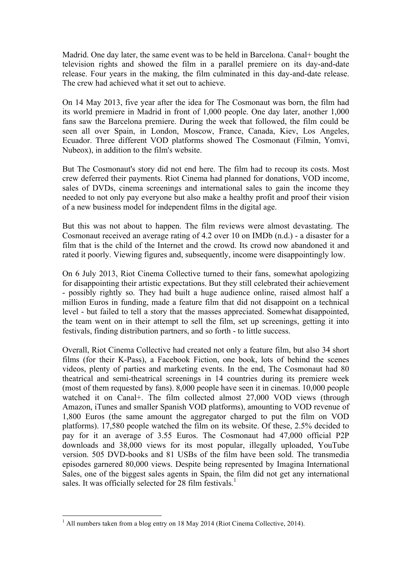Madrid. One day later, the same event was to be held in Barcelona. Canal+ bought the television rights and showed the film in a parallel premiere on its day-and-date release. Four years in the making, the film culminated in this day-and-date release. The crew had achieved what it set out to achieve.

On 14 May 2013, five year after the idea for The Cosmonaut was born, the film had its world premiere in Madrid in front of 1,000 people. One day later, another 1,000 fans saw the Barcelona premiere. During the week that followed, the film could be seen all over Spain, in London, Moscow, France, Canada, Kiev, Los Angeles, Ecuador. Three different VOD platforms showed The Cosmonaut (Filmin, Yomvi, Nubeox), in addition to the film's website.

But The Cosmonaut's story did not end here. The film had to recoup its costs. Most crew deferred their payments. Riot Cinema had planned for donations, VOD income, sales of DVDs, cinema screenings and international sales to gain the income they needed to not only pay everyone but also make a healthy profit and proof their vision of a new business model for independent films in the digital age.

But this was not about to happen. The film reviews were almost devastating. The Cosmonaut received an average rating of 4.2 over 10 on IMDb (n.d.) - a disaster for a film that is the child of the Internet and the crowd. Its crowd now abandoned it and rated it poorly. Viewing figures and, subsequently, income were disappointingly low.

On 6 July 2013, Riot Cinema Collective turned to their fans, somewhat apologizing for disappointing their artistic expectations. But they still celebrated their achievement - possibly rightly so. They had built a huge audience online, raised almost half a million Euros in funding, made a feature film that did not disappoint on a technical level - but failed to tell a story that the masses appreciated. Somewhat disappointed, the team went on in their attempt to sell the film, set up screenings, getting it into festivals, finding distribution partners, and so forth - to little success.

Overall, Riot Cinema Collective had created not only a feature film, but also 34 short films (for their K-Pass), a Facebook Fiction, one book, lots of behind the scenes videos, plenty of parties and marketing events. In the end, The Cosmonaut had 80 theatrical and semi-theatrical screenings in 14 countries during its premiere week (most of them requested by fans). 8,000 people have seen it in cinemas. 10,000 people watched it on Canal+. The film collected almost 27,000 VOD views (through Amazon, iTunes and smaller Spanish VOD platforms), amounting to VOD revenue of 1,800 Euros (the same amount the aggregator charged to put the film on VOD platforms). 17,580 people watched the film on its website. Of these, 2.5% decided to pay for it an average of 3.55 Euros. The Cosmonaut had 47,000 official P2P downloads and 38,000 views for its most popular, illegally uploaded, YouTube version. 505 DVD-books and 81 USBs of the film have been sold. The transmedia episodes garnered 80,000 views. Despite being represented by Imagina International Sales, one of the biggest sales agents in Spain, the film did not get any international sales. It was officially selected for 28 film festivals.<sup>1</sup>

 $1$  All numbers taken from a blog entry on 18 May 2014 (Riot Cinema Collective, 2014).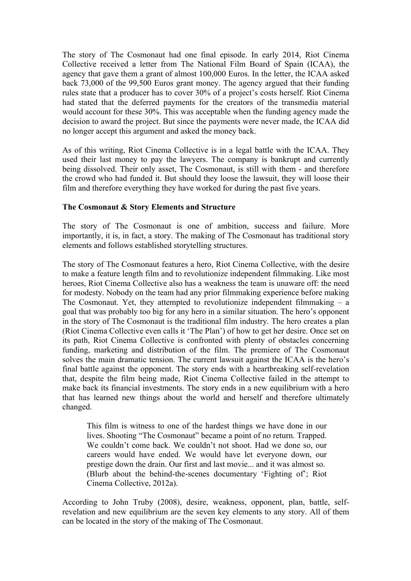The story of The Cosmonaut had one final episode. In early 2014, Riot Cinema Collective received a letter from The National Film Board of Spain (ICAA), the agency that gave them a grant of almost 100,000 Euros. In the letter, the ICAA asked back 73,000 of the 99,500 Euros grant money. The agency argued that their funding rules state that a producer has to cover 30% of a project's costs herself. Riot Cinema had stated that the deferred payments for the creators of the transmedia material would account for these 30%. This was acceptable when the funding agency made the decision to award the project. But since the payments were never made, the ICAA did no longer accept this argument and asked the money back.

As of this writing, Riot Cinema Collective is in a legal battle with the ICAA. They used their last money to pay the lawyers. The company is bankrupt and currently being dissolved. Their only asset, The Cosmonaut, is still with them - and therefore the crowd who had funded it. But should they loose the lawsuit, they will loose their film and therefore everything they have worked for during the past five years.

## **The Cosmonaut & Story Elements and Structure**

The story of The Cosmonaut is one of ambition, success and failure. More importantly, it is, in fact, a story. The making of The Cosmonaut has traditional story elements and follows established storytelling structures.

The story of The Cosmonaut features a hero, Riot Cinema Collective, with the desire to make a feature length film and to revolutionize independent filmmaking. Like most heroes, Riot Cinema Collective also has a weakness the team is unaware off: the need for modesty. Nobody on the team had any prior filmmaking experience before making The Cosmonaut. Yet, they attempted to revolutionize independent filmmaking  $- a$ goal that was probably too big for any hero in a similar situation. The hero's opponent in the story of The Cosmonaut is the traditional film industry. The hero creates a plan (Riot Cinema Collective even calls it 'The Plan') of how to get her desire. Once set on its path, Riot Cinema Collective is confronted with plenty of obstacles concerning funding, marketing and distribution of the film. The premiere of The Cosmonaut solves the main dramatic tension. The current lawsuit against the ICAA is the hero's final battle against the opponent. The story ends with a heartbreaking self-revelation that, despite the film being made, Riot Cinema Collective failed in the attempt to make back its financial investments. The story ends in a new equilibrium with a hero that has learned new things about the world and herself and therefore ultimately changed.

This film is witness to one of the hardest things we have done in our lives. Shooting "The Cosmonaut" became a point of no return. Trapped. We couldn't come back. We couldn't not shoot. Had we done so, our careers would have ended. We would have let everyone down, our prestige down the drain. Our first and last movie... and it was almost so. (Blurb about the behind-the-scenes documentary 'Fighting of'; Riot Cinema Collective, 2012a).

According to John Truby (2008), desire, weakness, opponent, plan, battle, selfrevelation and new equilibrium are the seven key elements to any story. All of them can be located in the story of the making of The Cosmonaut.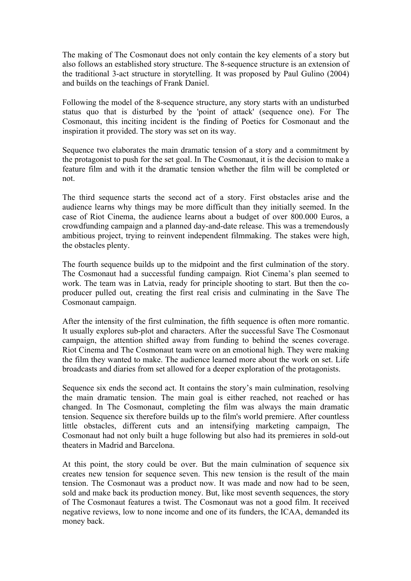The making of The Cosmonaut does not only contain the key elements of a story but also follows an established story structure. The 8-sequence structure is an extension of the traditional 3-act structure in storytelling. It was proposed by Paul Gulino (2004) and builds on the teachings of Frank Daniel.

Following the model of the 8-sequence structure, any story starts with an undisturbed status quo that is disturbed by the 'point of attack' (sequence one). For The Cosmonaut, this inciting incident is the finding of Poetics for Cosmonaut and the inspiration it provided. The story was set on its way.

Sequence two elaborates the main dramatic tension of a story and a commitment by the protagonist to push for the set goal. In The Cosmonaut, it is the decision to make a feature film and with it the dramatic tension whether the film will be completed or not.

The third sequence starts the second act of a story. First obstacles arise and the audience learns why things may be more difficult than they initially seemed. In the case of Riot Cinema, the audience learns about a budget of over 800.000 Euros, a crowdfunding campaign and a planned day-and-date release. This was a tremendously ambitious project, trying to reinvent independent filmmaking. The stakes were high, the obstacles plenty.

The fourth sequence builds up to the midpoint and the first culmination of the story. The Cosmonaut had a successful funding campaign. Riot Cinema's plan seemed to work. The team was in Latvia, ready for principle shooting to start. But then the coproducer pulled out, creating the first real crisis and culminating in the Save The Cosmonaut campaign.

After the intensity of the first culmination, the fifth sequence is often more romantic. It usually explores sub-plot and characters. After the successful Save The Cosmonaut campaign, the attention shifted away from funding to behind the scenes coverage. Riot Cinema and The Cosmonaut team were on an emotional high. They were making the film they wanted to make. The audience learned more about the work on set. Life broadcasts and diaries from set allowed for a deeper exploration of the protagonists.

Sequence six ends the second act. It contains the story's main culmination, resolving the main dramatic tension. The main goal is either reached, not reached or has changed. In The Cosmonaut, completing the film was always the main dramatic tension. Sequence six therefore builds up to the film's world premiere. After countless little obstacles, different cuts and an intensifying marketing campaign, The Cosmonaut had not only built a huge following but also had its premieres in sold-out theaters in Madrid and Barcelona.

At this point, the story could be over. But the main culmination of sequence six creates new tension for sequence seven. This new tension is the result of the main tension. The Cosmonaut was a product now. It was made and now had to be seen, sold and make back its production money. But, like most seventh sequences, the story of The Cosmonaut features a twist. The Cosmonaut was not a good film. It received negative reviews, low to none income and one of its funders, the ICAA, demanded its money back.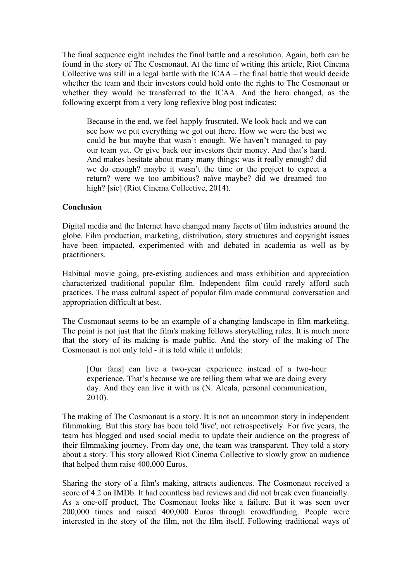The final sequence eight includes the final battle and a resolution. Again, both can be found in the story of The Cosmonaut. At the time of writing this article, Riot Cinema Collective was still in a legal battle with the ICAA – the final battle that would decide whether the team and their investors could hold onto the rights to The Cosmonaut or whether they would be transferred to the ICAA. And the hero changed, as the following excerpt from a very long reflexive blog post indicates:

Because in the end, we feel happly frustrated. We look back and we can see how we put everything we got out there. How we were the best we could be but maybe that wasn't enough. We haven't managed to pay our team yet. Or give back our investors their money. And that's hard. And makes hesitate about many many things: was it really enough? did we do enough? maybe it wasn't the time or the project to expect a return? were we too ambitious? naïve maybe? did we dreamed too high? [sic] (Riot Cinema Collective, 2014).

## **Conclusion**

Digital media and the Internet have changed many facets of film industries around the globe. Film production, marketing, distribution, story structures and copyright issues have been impacted, experimented with and debated in academia as well as by practitioners.

Habitual movie going, pre-existing audiences and mass exhibition and appreciation characterized traditional popular film. Independent film could rarely afford such practices. The mass cultural aspect of popular film made communal conversation and appropriation difficult at best.

The Cosmonaut seems to be an example of a changing landscape in film marketing. The point is not just that the film's making follows storytelling rules. It is much more that the story of its making is made public. And the story of the making of The Cosmonaut is not only told - it is told while it unfolds:

[Our fans] can live a two-year experience instead of a two-hour experience. That's because we are telling them what we are doing every day. And they can live it with us (N. Alcala, personal communication, 2010).

The making of The Cosmonaut is a story. It is not an uncommon story in independent filmmaking. But this story has been told 'live', not retrospectively. For five years, the team has blogged and used social media to update their audience on the progress of their filmmaking journey. From day one, the team was transparent. They told a story about a story. This story allowed Riot Cinema Collective to slowly grow an audience that helped them raise 400,000 Euros.

Sharing the story of a film's making, attracts audiences. The Cosmonaut received a score of 4.2 on IMDb. It had countless bad reviews and did not break even financially. As a one-off product, The Cosmonaut looks like a failure. But it was seen over 200,000 times and raised 400,000 Euros through crowdfunding. People were interested in the story of the film, not the film itself. Following traditional ways of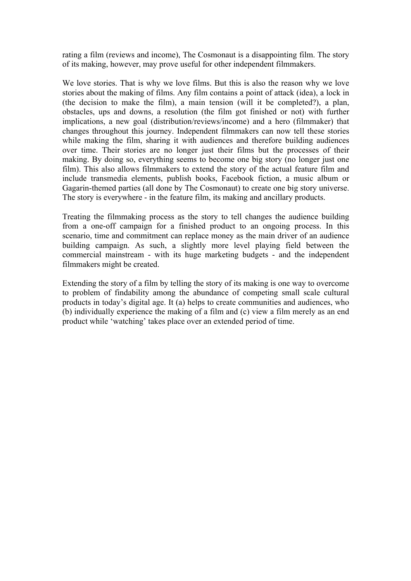rating a film (reviews and income), The Cosmonaut is a disappointing film. The story of its making, however, may prove useful for other independent filmmakers.

We love stories. That is why we love films. But this is also the reason why we love stories about the making of films. Any film contains a point of attack (idea), a lock in (the decision to make the film), a main tension (will it be completed?), a plan, obstacles, ups and downs, a resolution (the film got finished or not) with further implications, a new goal (distribution/reviews/income) and a hero (filmmaker) that changes throughout this journey. Independent filmmakers can now tell these stories while making the film, sharing it with audiences and therefore building audiences over time. Their stories are no longer just their films but the processes of their making. By doing so, everything seems to become one big story (no longer just one film). This also allows filmmakers to extend the story of the actual feature film and include transmedia elements, publish books, Facebook fiction, a music album or Gagarin-themed parties (all done by The Cosmonaut) to create one big story universe. The story is everywhere - in the feature film, its making and ancillary products.

Treating the filmmaking process as the story to tell changes the audience building from a one-off campaign for a finished product to an ongoing process. In this scenario, time and commitment can replace money as the main driver of an audience building campaign. As such, a slightly more level playing field between the commercial mainstream - with its huge marketing budgets - and the independent filmmakers might be created.

Extending the story of a film by telling the story of its making is one way to overcome to problem of findability among the abundance of competing small scale cultural products in today's digital age. It (a) helps to create communities and audiences, who (b) individually experience the making of a film and (c) view a film merely as an end product while 'watching' takes place over an extended period of time.